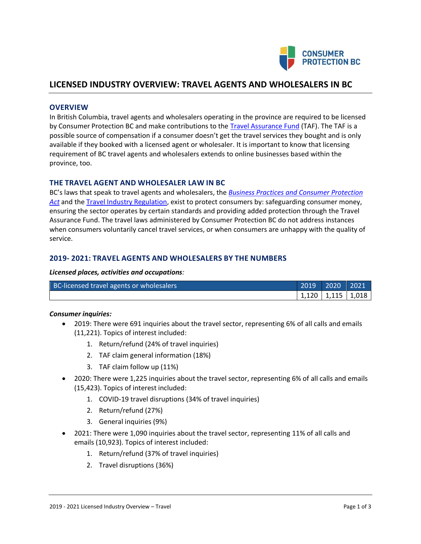

# **LICENSED INDUSTRY OVERVIEW: TRAVEL AGENTS AND WHOLESALERS IN BC**

## **OVERVIEW**

In British Columbia, travel agents and wholesalers operating in the province are required to be licensed by Consumer Protection BC and make contributions to the [Travel Assurance Fund](https://www.consumerprotectionbc.ca/consumer-help/didnt-get-travel-services/) (TAF). The TAF is a possible source of compensation if a consumer doesn't get the travel services they bought and is only available if they booked with a licensed agent or wholesaler. It is important to know that licensing requirement of BC travel agents and wholesalers extends to online businesses based within the province, too.

## **THE TRAVEL AGENT AND WHOLESALER LAW IN BC**

BC's laws that speak to travel agents and wholesalers, the *[Business Practices and Consumer Protection](http://www.bclaws.ca/Recon/document/ID/freeside/04002_00)  [Act](http://www.bclaws.ca/Recon/document/ID/freeside/04002_00)* and the [Travel Industry Regulation,](http://www.bclaws.ca/Recon/document/ID/freeside/19_296_2004) exist to protect consumers by: safeguarding consumer money, ensuring the sector operates by certain standards and providing added protection through the Travel Assurance Fund. The travel laws administered by Consumer Protection BC do not address instances when consumers voluntarily cancel travel services, or when consumers are unhappy with the quality of service.

# **2019- 2021: TRAVEL AGENTS AND WHOLESALERS BY THE NUMBERS**

#### *Licensed places, activities and occupations:*

| BC-licensed travel agents or wholesalers | $2019$ 2020 2021        |  |
|------------------------------------------|-------------------------|--|
|                                          | $1,120$   1,115   1,018 |  |

## *Consumer inquiries:*

- 2019: There were 691 inquiries about the travel sector, representing 6% of all calls and emails (11,221). Topics of interest included:
	- 1. Return/refund (24% of travel inquiries)
	- 2. TAF claim general information (18%)
	- 3. TAF claim follow up (11%)
- 2020: There were 1,225 inquiries about the travel sector, representing 6% of all calls and emails (15,423). Topics of interest included:
	- 1. COVID-19 travel disruptions (34% of travel inquiries)
	- 2. Return/refund (27%)
	- 3. General inquiries (9%)
- 2021: There were 1,090 inquiries about the travel sector, representing 11% of all calls and emails (10,923). Topics of interest included:
	- 1. Return/refund (37% of travel inquiries)
	- 2. Travel disruptions (36%)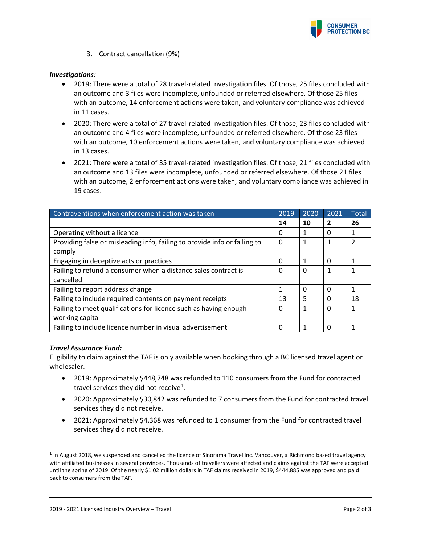

3. Contract cancellation (9%)

## *Investigations:*

- 2019: There were a total of 28 travel-related investigation files. Of those, 25 files concluded with an outcome and 3 files were incomplete, unfounded or referred elsewhere. Of those 25 files with an outcome, 14 enforcement actions were taken, and voluntary compliance was achieved in 11 cases.
- 2020: There were a total of 27 travel-related investigation files. Of those, 23 files concluded with an outcome and 4 files were incomplete, unfounded or referred elsewhere. Of those 23 files with an outcome, 10 enforcement actions were taken, and voluntary compliance was achieved in 13 cases.
- 2021: There were a total of 35 travel-related investigation files. Of those, 21 files concluded with an outcome and 13 files were incomplete, unfounded or referred elsewhere. Of those 21 files with an outcome, 2 enforcement actions were taken, and voluntary compliance was achieved in 19 cases.

| Contraventions when enforcement action was taken                          | 2019 | 2020     | 2021           | Total         |
|---------------------------------------------------------------------------|------|----------|----------------|---------------|
|                                                                           | 14   | 10       | $\overline{2}$ | 26            |
| Operating without a licence                                               | 0    | 1        | 0              |               |
| Providing false or misleading info, failing to provide info or failing to | 0    | 1        |                | $\mathfrak z$ |
| comply                                                                    |      |          |                |               |
| Engaging in deceptive acts or practices                                   | 0    |          | 0              | 1             |
| Failing to refund a consumer when a distance sales contract is            | 0    | 0        |                |               |
| cancelled                                                                 |      |          |                |               |
| Failing to report address change                                          | 1    | $\Omega$ | $\Omega$       | 1             |
| Failing to include required contents on payment receipts                  | 13   | 5        | <sup>0</sup>   | 18            |
| Failing to meet qualifications for licence such as having enough          | 0    | 1        | $\Omega$       | 1             |
| working capital                                                           |      |          |                |               |
| Failing to include licence number in visual advertisement                 | 0    |          | <sup>0</sup>   |               |

#### *Travel Assurance Fund:*

Eligibility to claim against the TAF is only available when booking through a BC licensed travel agent or wholesaler.

- 2019: Approximately \$448,748 was refunded to 110 consumers from the Fund for contracted travel services they did not receive<sup>1</sup>.
- 2020: Approximately \$30,842 was refunded to 7 consumers from the Fund for contracted travel services they did not receive.
- 2021: Approximately \$4,368 was refunded to 1 consumer from the Fund for contracted travel services they did not receive.

 $^1$  In August 2018, we suspended and cancelled the licence of Sinorama Travel Inc. Vancouver, a Richmond based travel agency with affiliated businesses in several provinces. Thousands of travellers were affected and claims against the TAF were accepted until the spring of 2019. Of the nearly \$1.02 million dollars in TAF claims received in 2019, \$444,885 was approved and paid back to consumers from the TAF.